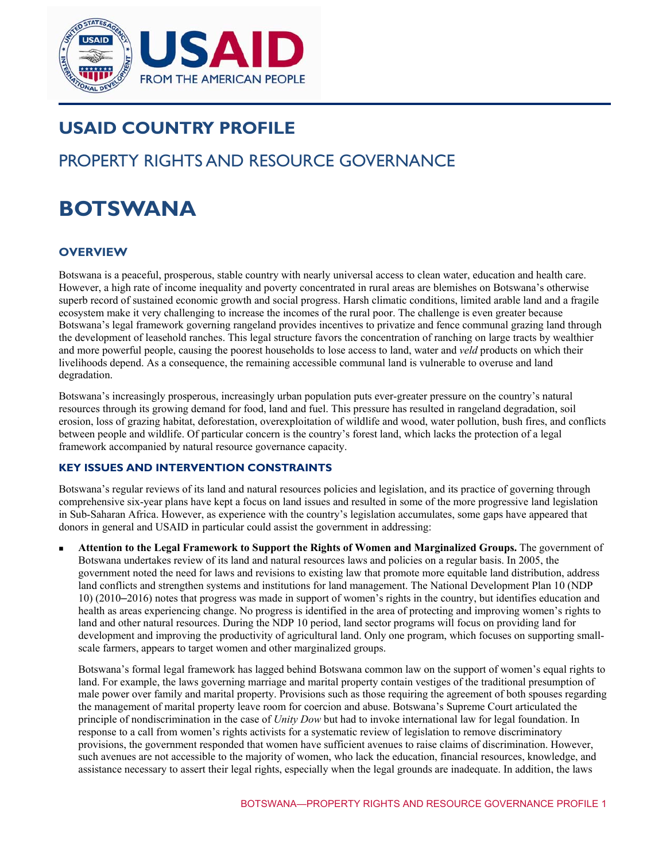

# **USAID COUNTRY PROFILE**

# PROPERTY RIGHTS AND RESOURCE GOVERNANCE

# **18OTSWANA**

# **OVERVIEW**

Botswana is a peaceful, prosperous, stable country with nearly universal access to clean water, education and health care. However, a high rate of income inequality and poverty concentrated in rural areas are blemishes on Botswana's otherwise superb record of sustained economic growth and social progress. Harsh climatic conditions, limited arable land and a fragile ecosystem make it very challenging to increase the incomes of the rural poor. The challenge is even greater because Botswana's legal framework governing rangeland provides incentives to privatize and fence communal grazing land through the development of leasehold ranches. This legal structure favors the concentration of ranching on large tracts by wealthier and more powerful people, causing the poorest households to lose access to land, water and *veld* products on which their livelihoods depend. As a consequence, the remaining accessible communal land is vulnerable to overuse and land degradation.

Botswana's increasingly prosperous, increasingly urban population puts ever-greater pressure on the country's natural resources through its growing demand for food, land and fuel. This pressure has resulted in rangeland degradation, soil erosion, loss of grazing habitat, deforestation, overexploitation of wildlife and wood, water pollution, bush fires, and conflicts between people and wildlife. Of particular concern is the country's forest land, which lacks the protection of a legal framework accompanied by natural resource governance capacity.

#### **KEY ISSUES AND INTERVENTION CONSTRAINTS**

Botswana's regular reviews of its land and natural resources policies and legislation, and its practice of governing through comprehensive six-year plans have kept a focus on land issues and resulted in some of the more progressive land legislation in Sub-Saharan Africa. However, as experience with the country's legislation accumulates, some gaps have appeared that donors in general and USAID in particular could assist the government in addressing:

 **Attention to the Legal Framework to Support the Rights of Women and Marginalized Groups.** The government of Botswana undertakes review of its land and natural resources laws and policies on a regular basis. In 2005, the government noted the need for laws and revisions to existing law that promote more equitable land distribution, address land conflicts and strengthen systems and institutions for land management. The National Development Plan 10 (NDP 10) (2010–2016) notes that progress was made in support of women's rights in the country, but identifies education and health as areas experiencing change. No progress is identified in the area of protecting and improving women's rights to land and other natural resources. During the NDP 10 period, land sector programs will focus on providing land for development and improving the productivity of agricultural land. Only one program, which focuses on supporting smallscale farmers, appears to target women and other marginalized groups.

Botswana's formal legal framework has lagged behind Botswana common law on the support of women's equal rights to land. For example, the laws governing marriage and marital property contain vestiges of the traditional presumption of male power over family and marital property. Provisions such as those requiring the agreement of both spouses regarding the management of marital property leave room for coercion and abuse. Botswana's Supreme Court articulated the principle of nondiscrimination in the case of *Unity Dow* but had to invoke international law for legal foundation. In response to a call from women's rights activists for a systematic review of legislation to remove discriminatory provisions, the government responded that women have sufficient avenues to raise claims of discrimination. However, such avenues are not accessible to the majority of women, who lack the education, financial resources, knowledge, and assistance necessary to assert their legal rights, especially when the legal grounds are inadequate. In addition, the laws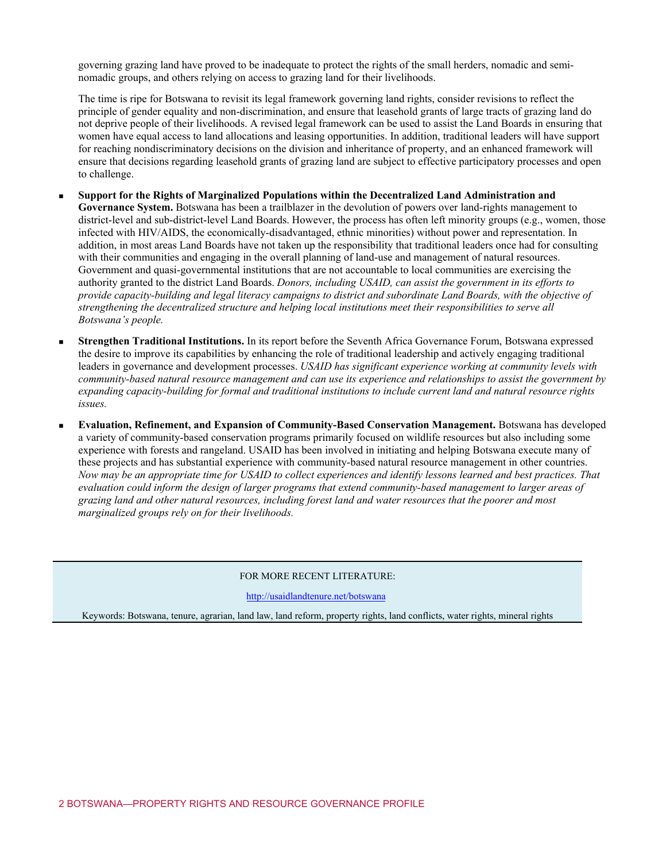governing grazing land have proved to be inadequate to protect the rights of the small herders, nomadic and seminomadic groups, and others relying on access to grazing land for their livelihoods.

The time is ripe for Botswana to revisit its legal framework governing land rights, consider revisions to reflect the principle of gender equality and non-discrimination, and ensure that leasehold grants of large tracts of grazing land do not deprive people of their livelihoods. A revised legal framework can be used to assist the Land Boards in ensuring that women have equal access to land allocations and leasing opportunities. In addition, traditional leaders will have support for reaching nondiscriminatory decisions on the division and inheritance of property, and an enhanced framework will ensure that decisions regarding leasehold grants of grazing land are subject to effective participatory processes and open to challenge.

- **Support for the Rights of Marginalized Populations within the Decentralized Land Administration and Governance System.** Botswana has been a trailblazer in the devolution of powers over land-rights management to district-level and sub-district-level Land Boards. However, the process has often left minority groups (e.g., women, those infected with HIV/AIDS, the economically-disadvantaged, ethnic minorities) without power and representation. In addition, in most areas Land Boards have not taken up the responsibility that traditional leaders once had for consulting with their communities and engaging in the overall planning of land-use and management of natural resources. Government and quasi-governmental institutions that are not accountable to local communities are exercising the authority granted to the district Land Boards. *Donors, including USAID, can assist the government in its efforts to provide capacity-building and legal literacy campaigns to district and subordinate Land Boards, with the objective of strengthening the decentralized structure and helping local institutions meet their responsibilities to serve all Botswana's people.*
- **Strengthen Traditional Institutions.** In its report before the Seventh Africa Governance Forum, Botswana expressed the desire to improve its capabilities by enhancing the role of traditional leadership and actively engaging traditional leaders in governance and development processes. *USAID has significant experience working at community levels with community-based natural resource management and can use its experience and relationships to assist the government by expanding capacity-building for formal and traditional institutions to include current land and natural resource rights issues.*
- **Evaluation, Refinement, and Expansion of Community-Based Conservation Management.** Botswana has developed a variety of community-based conservation programs primarily focused on wildlife resources but also including some experience with forests and rangeland. USAID has been involved in initiating and helping Botswana execute many of these projects and has substantial experience with community-based natural resource management in other countries. *Now may be an appropriate time for USAID to collect experiences and identify lessons learned and best practices. That evaluation could inform the design of larger programs that extend community-based management to larger areas of grazing land and other natural resources, including forest land and water resources that the poorer and most marginalized groups rely on for their livelihoods.*

#### FOR MORE RECENT LITERATURE:

<http://usaidlandtenure.net/botswana>

Keywords: Botswana, tenure, agrarian, land law, land reform, property rights, land conflicts, water rights, mineral rights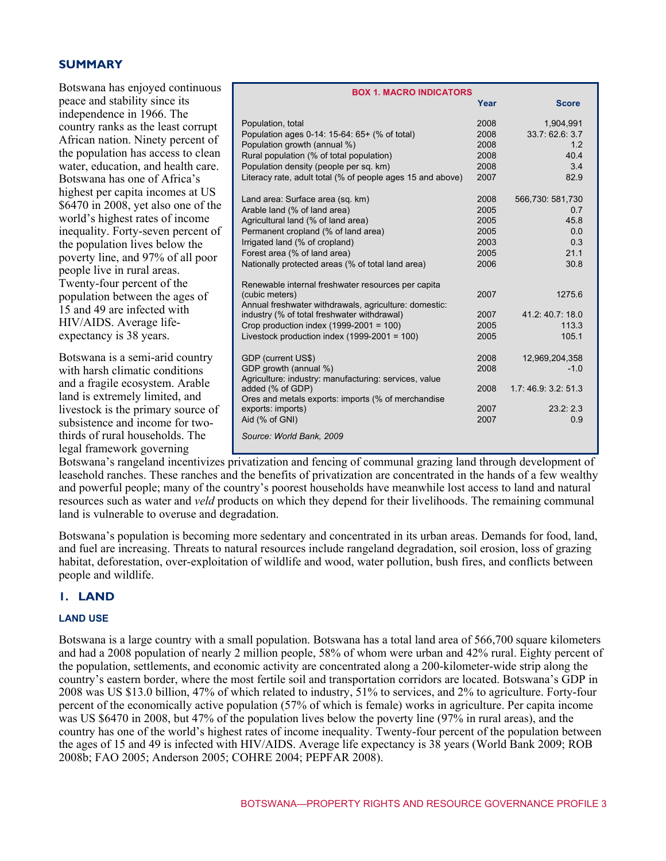#### $SUMMARY$

| Botswana has enjoyed continuous     | <b>BOX 1. MACRO INDICATORS</b>                                   |      |                         |  |
|-------------------------------------|------------------------------------------------------------------|------|-------------------------|--|
| peace and stability since its       |                                                                  | Year | <b>Score</b>            |  |
| independence in 1966. The           |                                                                  |      |                         |  |
| country ranks as the least corrupt  | Population, total                                                | 2008 | 1,904,991               |  |
| African nation. Ninety percent of   | Population ages 0-14: 15-64: 65+ (% of total)                    | 2008 | 33.7: 62.6: 3.7         |  |
|                                     | Population growth (annual %)                                     | 2008 | 1.2                     |  |
| the population has access to clean  | Rural population (% of total population)                         | 2008 | 40.4                    |  |
| water, education, and health care.  | Population density (people per sq. km)                           | 2008 | 3.4                     |  |
| Botswana has one of Africa's        | Literacy rate, adult total (% of people ages 15 and above)       | 2007 | 82.9                    |  |
| highest per capita incomes at US    |                                                                  | 2008 |                         |  |
| \$6470 in 2008, yet also one of the | Land area: Surface area (sq. km)<br>Arable land (% of land area) | 2005 | 566,730: 581,730<br>0.7 |  |
| world's highest rates of income     | Agricultural land (% of land area)                               | 2005 | 45.8                    |  |
| inequality. Forty-seven percent of  | Permanent cropland (% of land area)                              | 2005 | 0.0                     |  |
|                                     | Irrigated land (% of cropland)                                   | 2003 | 0.3                     |  |
| the population lives below the      | Forest area (% of land area)                                     | 2005 | 21.1                    |  |
| poverty line, and 97% of all poor   | Nationally protected areas (% of total land area)                | 2006 | 30.8                    |  |
| people live in rural areas.         |                                                                  |      |                         |  |
| Twenty-four percent of the          | Renewable internal freshwater resources per capita               |      |                         |  |
| population between the ages of      | (cubic meters)                                                   | 2007 | 1275.6                  |  |
| 15 and 49 are infected with         | Annual freshwater withdrawals, agriculture: domestic:            |      |                         |  |
| HIV/AIDS. Average life-             | industry (% of total freshwater withdrawal)                      | 2007 | 41.2:40.7:18.0          |  |
|                                     | Crop production index $(1999-2001 = 100)$                        | 2005 | 113.3                   |  |
| expectancy is 38 years.             | Livestock production index $(1999-2001 = 100)$                   | 2005 | 105.1                   |  |
| Botswana is a semi-arid country     | GDP (current US\$)                                               | 2008 | 12,969,204,358          |  |
| with harsh climatic conditions      | GDP growth (annual %)                                            | 2008 | $-1.0$                  |  |
|                                     | Agriculture: industry: manufacturing: services, value            |      |                         |  |
| and a fragile ecosystem. Arable     | added (% of GDP)                                                 | 2008 | 1.7:46.9:3.2:51.3       |  |
| land is extremely limited, and      | Ores and metals exports: imports (% of merchandise               |      |                         |  |
| livestock is the primary source of  | exports: imports)                                                | 2007 | 23.2:2.3                |  |
| subsistence and income for two-     | Aid (% of GNI)                                                   | 2007 | 0.9                     |  |
| thirds of rural households. The     | Source: World Bank, 2009                                         |      |                         |  |
| legal framework governing           |                                                                  |      |                         |  |
|                                     |                                                                  |      |                         |  |

Botswana's rangeland incentivizes privatization and fencing of communal grazing land through development of leasehold ranches. These ranches and the benefits of privatization are concentrated in the hands of a few wealthy and powerful people; many of the country's poorest households have meanwhile lost access to land and natural resources such as water and *veld* products on which they depend for their livelihoods. The remaining communal land is vulnerable to overuse and degradation.

Botswana's population is becoming more sedentary and concentrated in its urban areas. Demands for food, land, and fuel are increasing. Threats to natural resources include rangeland degradation, soil erosion, loss of grazing habitat, deforestation, over-exploitation of wildlife and wood, water pollution, bush fires, and conflicts between people and wildlife.

# **1. LAND**

#### **LAND USE**

Botswana is a large country with a small population. Botswana has a total land area of 566,700 square kilometers and had a 2008 population of nearly 2 million people, 58% of whom were urban and 42% rural. Eighty percent of the population, settlements, and economic activity are concentrated along a 200-kilometer-wide strip along the country's eastern border, where the most fertile soil and transportation corridors are located. Botswana's GDP in 2008 was US \$13.0 billion, 47% of which related to industry, 51% to services, and 2% to agriculture. Forty-four percent of the economically active population (57% of which is female) works in agriculture. Per capita income was US \$6470 in 2008, but 47% of the population lives below the poverty line (97% in rural areas), and the country has one of the world's highest rates of income inequality. Twenty-four percent of the population between the ages of 15 and 49 is infected with HIV/AIDS. Average life expectancy is 38 years (World Bank 2009; ROB 2008b; FAO 2005; Anderson 2005; COHRE 2004; PEPFAR 2008).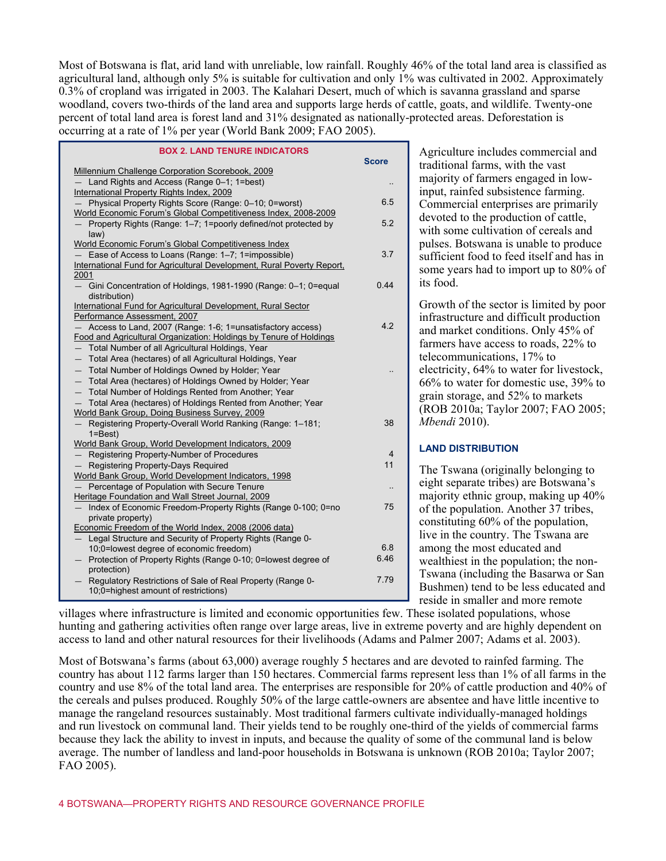Most of Botswana is flat, arid land with unreliable, low rainfall. Roughly 46% of the total land area is classified as agricultural land, although only 5% is suitable for cultivation and only 1% was cultivated in 2002. Approximately 0.3% of cropland was irrigated in 2003. The Kalahari Desert, much of which is savanna grassland and sparse woodland, covers two-thirds of the land area and supports large herds of cattle, goats, and wildlife. Twenty-one percent of total land area is forest land and 31% designated as nationally-protected areas. Deforestation is occurring at a rate of 1% per year (World Bank 2009; FAO 2005).

| <b>BOX 2. LAND TENURE INDICATORS</b>                                   | <b>Score</b> |  |
|------------------------------------------------------------------------|--------------|--|
| Millennium Challenge Corporation Scorebook, 2009                       |              |  |
| - Land Rights and Access (Range 0-1; 1=best)                           |              |  |
| International Property Rights Index, 2009                              |              |  |
| Physical Property Rights Score (Range: 0-10; 0=worst)                  | 6.5          |  |
| World Economic Forum's Global Competitiveness Index, 2008-2009         |              |  |
| Property Rights (Range: 1-7; 1=poorly defined/not protected by         | 5.2          |  |
| law)<br>World Economic Forum's Global Competitiveness Index            |              |  |
| Ease of Access to Loans (Range: 1-7; 1=impossible)                     | 3.7          |  |
| International Fund for Agricultural Development, Rural Poverty Report, |              |  |
| 2001                                                                   |              |  |
| Gini Concentration of Holdings, 1981-1990 (Range: 0-1; 0=equal         | 0.44         |  |
| distribution)                                                          |              |  |
| International Fund for Agricultural Development, Rural Sector          |              |  |
| Performance Assessment, 2007                                           |              |  |
| Access to Land, 2007 (Range: 1-6; 1=unsatisfactory access)             | 4.2          |  |
| Food and Agricultural Organization: Holdings by Tenure of Holdings     |              |  |
| - Total Number of all Agricultural Holdings, Year                      |              |  |
| - Total Area (hectares) of all Agricultural Holdings, Year             |              |  |
| - Total Number of Holdings Owned by Holder; Year                       |              |  |
| - Total Area (hectares) of Holdings Owned by Holder; Year              |              |  |
| - Total Number of Holdings Rented from Another; Year                   |              |  |
| Total Area (hectares) of Holdings Rented from Another; Year            |              |  |
| World Bank Group, Doing Business Survey, 2009                          |              |  |
| Registering Property-Overall World Ranking (Range: 1-181;              | 38           |  |
| $1 = Best$<br>World Bank Group, World Development Indicators, 2009     |              |  |
| Registering Property-Number of Procedures                              | 4            |  |
| Registering Property-Days Required                                     | 11           |  |
| World Bank Group, World Development Indicators, 1998                   |              |  |
| Percentage of Population with Secure Tenure                            |              |  |
| Heritage Foundation and Wall Street Journal, 2009                      |              |  |
| Index of Economic Freedom-Property Rights (Range 0-100; 0=no           | 75           |  |
| private property)                                                      |              |  |
| Economic Freedom of the World Index, 2008 (2006 data)                  |              |  |
| - Legal Structure and Security of Property Rights (Range 0-            |              |  |
| 10;0=lowest degree of economic freedom)                                | 6.8          |  |
| Protection of Property Rights (Range 0-10; 0=lowest degree of          | 6.46         |  |
| protection)                                                            |              |  |
| Regulatory Restrictions of Sale of Real Property (Range 0-             | 7.79         |  |
| 10;0=highest amount of restrictions)                                   |              |  |
|                                                                        |              |  |

Agriculture includes commercial and traditional farms, with the vast majority of farmers engaged in lowinput, rainfed subsistence farming. Commercial enterprises are primarily devoted to the production of cattle, with some cultivation of cereals and pulses. Botswana is unable to produce sufficient food to feed itself and has in some years had to import up to 80% of its food.

Growth of the sector is limited by poor infrastructure and difficult production and market conditions. Only 45% of farmers have access to roads, 22% to telecommunications, 17% to electricity, 64% to water for livestock, 66% to water for domestic use, 39% to grain storage, and 52% to markets (ROB 2010a; Taylor 2007; FAO 2005; *Mbendi* 2010).

#### **LAND DISTRIBUTION**

The Tswana (originally belonging to eight separate tribes) are Botswana's majority ethnic group, making up 40% of the population. Another 37 tribes, constituting 60% of the population, live in the country. The Tswana are among the most educated and wealthiest in the population; the non-Tswana (including the Basarwa or San Bushmen) tend to be less educated and reside in smaller and more remote

villages where infrastructure is limited and economic opportunities few. These isolated populations, whose hunting and gathering activities often range over large areas, live in extreme poverty and are highly dependent on access to land and other natural resources for their livelihoods (Adams and Palmer 2007; Adams et al. 2003).

Most of Botswana's farms (about 63,000) average roughly 5 hectares and are devoted to rainfed farming. The country has about 112 farms larger than 150 hectares. Commercial farms represent less than 1% of all farms in the country and use 8% of the total land area. The enterprises are responsible for 20% of cattle production and 40% of the cereals and pulses produced. Roughly 50% of the large cattle-owners are absentee and have little incentive to manage the rangeland resources sustainably. Most traditional farmers cultivate individually-managed holdings and run livestock on communal land. Their yields tend to be roughly one-third of the yields of commercial farms because they lack the ability to invest in inputs, and because the quality of some of the communal land is below average. The number of landless and land-poor households in Botswana is unknown (ROB 2010a; Taylor 2007; FAO 2005).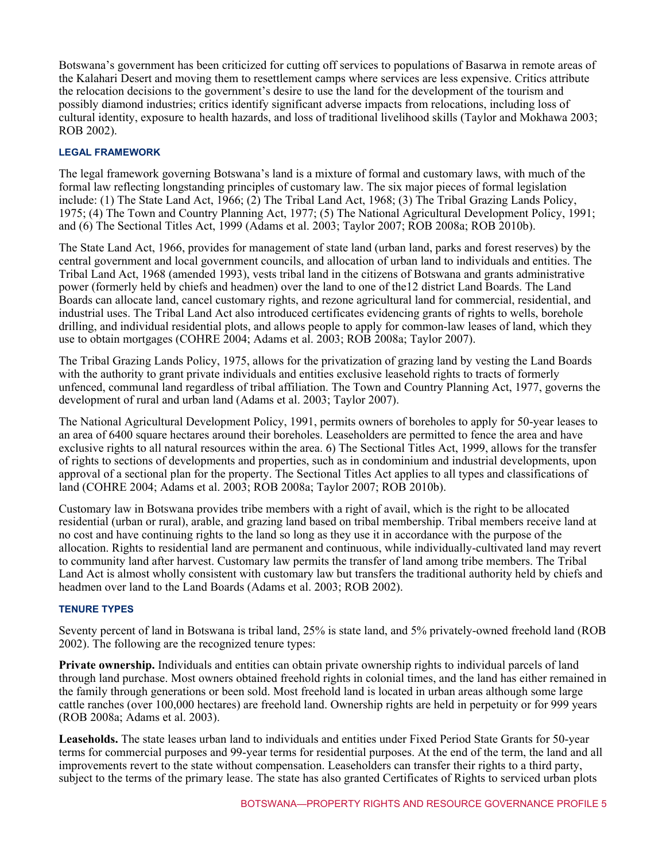Botswana's government has been criticized for cutting off services to populations of Basarwa in remote areas of the Kalahari Desert and moving them to resettlement camps where services are less expensive. Critics attribute the relocation decisions to the government's desire to use the land for the development of the tourism and possibly diamond industries; critics identify significant adverse impacts from relocations, including loss of cultural identity, exposure to health hazards, and loss of traditional livelihood skills (Taylor and Mokhawa 2003; ROB 2002).

#### **LEGAL FRAMEWORK**

The legal framework governing Botswana's land is a mixture of formal and customary laws, with much of the formal law reflecting longstanding principles of customary law. The six major pieces of formal legislation include: (1) The State Land Act, 1966; (2) The Tribal Land Act, 1968; (3) The Tribal Grazing Lands Policy, 1975; (4) The Town and Country Planning Act, 1977; (5) The National Agricultural Development Policy, 1991; and (6) The Sectional Titles Act, 1999 (Adams et al. 2003; Taylor 2007; ROB 2008a; ROB 2010b).

The State Land Act, 1966, provides for management of state land (urban land, parks and forest reserves) by the central government and local government councils, and allocation of urban land to individuals and entities. The Tribal Land Act, 1968 (amended 1993), vests tribal land in the citizens of Botswana and grants administrative power (formerly held by chiefs and headmen) over the land to one of the12 district Land Boards. The Land Boards can allocate land, cancel customary rights, and rezone agricultural land for commercial, residential, and industrial uses. The Tribal Land Act also introduced certificates evidencing grants of rights to wells, borehole drilling, and individual residential plots, and allows people to apply for common-law leases of land, which they use to obtain mortgages (COHRE 2004; Adams et al. 2003; ROB 2008a; Taylor 2007).

The Tribal Grazing Lands Policy, 1975, allows for the privatization of grazing land by vesting the Land Boards with the authority to grant private individuals and entities exclusive leasehold rights to tracts of formerly unfenced, communal land regardless of tribal affiliation. The Town and Country Planning Act, 1977, governs the development of rural and urban land (Adams et al. 2003; Taylor 2007).

The National Agricultural Development Policy, 1991, permits owners of boreholes to apply for 50-year leases to an area of 6400 square hectares around their boreholes. Leaseholders are permitted to fence the area and have exclusive rights to all natural resources within the area. 6) The Sectional Titles Act, 1999, allows for the transfer of rights to sections of developments and properties, such as in condominium and industrial developments, upon approval of a sectional plan for the property. The Sectional Titles Act applies to all types and classifications of land (COHRE 2004; Adams et al. 2003; ROB 2008a; Taylor 2007; ROB 2010b).

Customary law in Botswana provides tribe members with a right of avail, which is the right to be allocated residential (urban or rural), arable, and grazing land based on tribal membership. Tribal members receive land at no cost and have continuing rights to the land so long as they use it in accordance with the purpose of the allocation. Rights to residential land are permanent and continuous, while individually-cultivated land may revert to community land after harvest. Customary law permits the transfer of land among tribe members. The Tribal Land Act is almost wholly consistent with customary law but transfers the traditional authority held by chiefs and headmen over land to the Land Boards (Adams et al. 2003; ROB 2002).

#### **TENURE TYPES**

Seventy percent of land in Botswana is tribal land, 25% is state land, and 5% privately-owned freehold land (ROB 2002). The following are the recognized tenure types:

**Private ownership.** Individuals and entities can obtain private ownership rights to individual parcels of land through land purchase. Most owners obtained freehold rights in colonial times, and the land has either remained in the family through generations or been sold. Most freehold land is located in urban areas although some large cattle ranches (over 100,000 hectares) are freehold land. Ownership rights are held in perpetuity or for 999 years (ROB 2008a; Adams et al. 2003).

**Leaseholds.** The state leases urban land to individuals and entities under Fixed Period State Grants for 50-year terms for commercial purposes and 99-year terms for residential purposes. At the end of the term, the land and all improvements revert to the state without compensation. Leaseholders can transfer their rights to a third party, subject to the terms of the primary lease. The state has also granted Certificates of Rights to serviced urban plots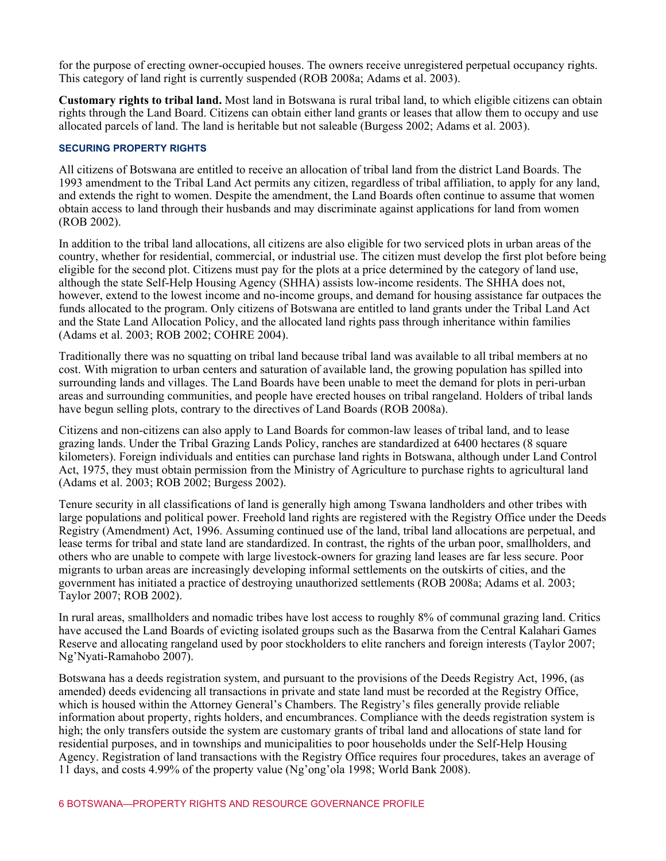for the purpose of erecting owner-occupied houses. The owners receive unregistered perpetual occupancy rights. This category of land right is currently suspended (ROB 2008a; Adams et al. 2003).

**Customary rights to tribal land.** Most land in Botswana is rural tribal land, to which eligible citizens can obtain rights through the Land Board. Citizens can obtain either land grants or leases that allow them to occupy and use allocated parcels of land. The land is heritable but not saleable (Burgess 2002; Adams et al. 2003).

#### **SECURING PROPERTY RIGHTS**

All citizens of Botswana are entitled to receive an allocation of tribal land from the district Land Boards. The 1993 amendment to the Tribal Land Act permits any citizen, regardless of tribal affiliation, to apply for any land, and extends the right to women. Despite the amendment, the Land Boards often continue to assume that women obtain access to land through their husbands and may discriminate against applications for land from women (ROB 2002).

In addition to the tribal land allocations, all citizens are also eligible for two serviced plots in urban areas of the country, whether for residential, commercial, or industrial use. The citizen must develop the first plot before being eligible for the second plot. Citizens must pay for the plots at a price determined by the category of land use, although the state Self-Help Housing Agency (SHHA) assists low-income residents. The SHHA does not, however, extend to the lowest income and no-income groups, and demand for housing assistance far outpaces the funds allocated to the program. Only citizens of Botswana are entitled to land grants under the Tribal Land Act and the State Land Allocation Policy, and the allocated land rights pass through inheritance within families (Adams et al. 2003; ROB 2002; COHRE 2004).

Traditionally there was no squatting on tribal land because tribal land was available to all tribal members at no cost. With migration to urban centers and saturation of available land, the growing population has spilled into surrounding lands and villages. The Land Boards have been unable to meet the demand for plots in peri-urban areas and surrounding communities, and people have erected houses on tribal rangeland. Holders of tribal lands have begun selling plots, contrary to the directives of Land Boards (ROB 2008a).

Citizens and non-citizens can also apply to Land Boards for common-law leases of tribal land, and to lease grazing lands. Under the Tribal Grazing Lands Policy, ranches are standardized at 6400 hectares (8 square kilometers). Foreign individuals and entities can purchase land rights in Botswana, although under Land Control Act, 1975, they must obtain permission from the Ministry of Agriculture to purchase rights to agricultural land (Adams et al. 2003; ROB 2002; Burgess 2002).

Tenure security in all classifications of land is generally high among Tswana landholders and other tribes with large populations and political power. Freehold land rights are registered with the Registry Office under the Deeds Registry (Amendment) Act, 1996. Assuming continued use of the land, tribal land allocations are perpetual, and lease terms for tribal and state land are standardized. In contrast, the rights of the urban poor, smallholders, and others who are unable to compete with large livestock-owners for grazing land leases are far less secure. Poor migrants to urban areas are increasingly developing informal settlements on the outskirts of cities, and the government has initiated a practice of destroying unauthorized settlements (ROB 2008a; Adams et al. 2003; Taylor 2007; ROB 2002).

In rural areas, smallholders and nomadic tribes have lost access to roughly 8% of communal grazing land. Critics have accused the Land Boards of evicting isolated groups such as the Basarwa from the Central Kalahari Games Reserve and allocating rangeland used by poor stockholders to elite ranchers and foreign interests (Taylor 2007; Ng'Nyati-Ramahobo 2007).

Botswana has a deeds registration system, and pursuant to the provisions of the Deeds Registry Act, 1996, (as amended) deeds evidencing all transactions in private and state land must be recorded at the Registry Office, which is housed within the Attorney General's Chambers. The Registry's files generally provide reliable information about property, rights holders, and encumbrances. Compliance with the deeds registration system is high; the only transfers outside the system are customary grants of tribal land and allocations of state land for residential purposes, and in townships and municipalities to poor households under the Self-Help Housing Agency. Registration of land transactions with the Registry Office requires four procedures, takes an average of 11 days, and costs 4.99% of the property value (Ng'ong'ola 1998; World Bank 2008).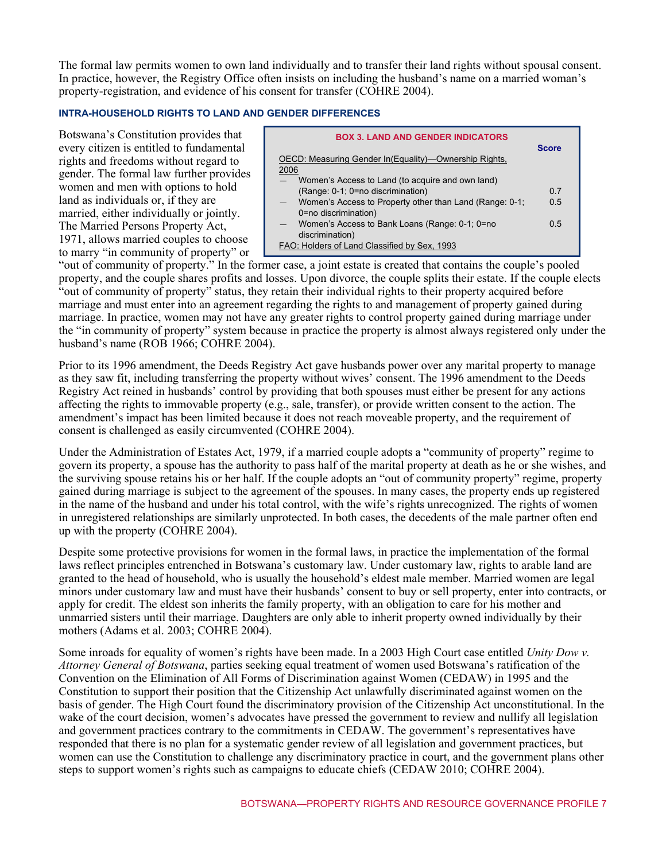The formal law permits women to own land individually and to transfer their land rights without spousal consent. In practice, however, the Registry Office often insists on including the husband's name on a married woman's property-registration, and evidence of his consent for transfer (COHRE 2004).

#### **INTRA-HOUSEHOLD RIGHTS TO LAND AND GENDER DIFFERENCES**

Botswana's Constitution provides that every citizen is entitled to fundamental rights and freedoms without regard to gender. The formal law further provides women and men with options to hold land as individuals or, if they are married, either individually or jointly. The Married Persons Property Act, 1971, allows married couples to choose to marry "in community of property" or



"out of community of property." In the former case, a joint estate is created that contains the couple's pooled property, and the couple shares profits and losses. Upon divorce, the couple splits their estate. If the couple elects "out of community of property" status, they retain their individual rights to their property acquired before marriage and must enter into an agreement regarding the rights to and management of property gained during marriage. In practice, women may not have any greater rights to control property gained during marriage under the "in community of property" system because in practice the property is almost always registered only under the husband's name (ROB 1966; COHRE 2004).

Prior to its 1996 amendment, the Deeds Registry Act gave husbands power over any marital property to manage as they saw fit, including transferring the property without wives' consent. The 1996 amendment to the Deeds Registry Act reined in husbands' control by providing that both spouses must either be present for any actions affecting the rights to immovable property (e.g., sale, transfer), or provide written consent to the action. The amendment's impact has been limited because it does not reach moveable property, and the requirement of consent is challenged as easily circumvented (COHRE 2004).

Under the Administration of Estates Act, 1979, if a married couple adopts a "community of property" regime to govern its property, a spouse has the authority to pass half of the marital property at death as he or she wishes, and the surviving spouse retains his or her half. If the couple adopts an "out of community property" regime, property gained during marriage is subject to the agreement of the spouses. In many cases, the property ends up registered in the name of the husband and under his total control, with the wife's rights unrecognized. The rights of women in unregistered relationships are similarly unprotected. In both cases, the decedents of the male partner often end up with the property (COHRE 2004).

Despite some protective provisions for women in the formal laws, in practice the implementation of the formal laws reflect principles entrenched in Botswana's customary law. Under customary law, rights to arable land are granted to the head of household, who is usually the household's eldest male member. Married women are legal minors under customary law and must have their husbands' consent to buy or sell property, enter into contracts, or apply for credit. The eldest son inherits the family property, with an obligation to care for his mother and unmarried sisters until their marriage. Daughters are only able to inherit property owned individually by their mothers (Adams et al. 2003; COHRE 2004).

Some inroads for equality of women's rights have been made. In a 2003 High Court case entitled *Unity Dow v. Attorney General of Botswana*, parties seeking equal treatment of women used Botswana's ratification of the Convention on the Elimination of All Forms of Discrimination against Women (CEDAW) in 1995 and the Constitution to support their position that the Citizenship Act unlawfully discriminated against women on the basis of gender. The High Court found the discriminatory provision of the Citizenship Act unconstitutional. In the wake of the court decision, women's advocates have pressed the government to review and nullify all legislation and government practices contrary to the commitments in CEDAW. The government's representatives have responded that there is no plan for a systematic gender review of all legislation and government practices, but women can use the Constitution to challenge any discriminatory practice in court, and the government plans other steps to support women's rights such as campaigns to educate chiefs (CEDAW 2010; COHRE 2004).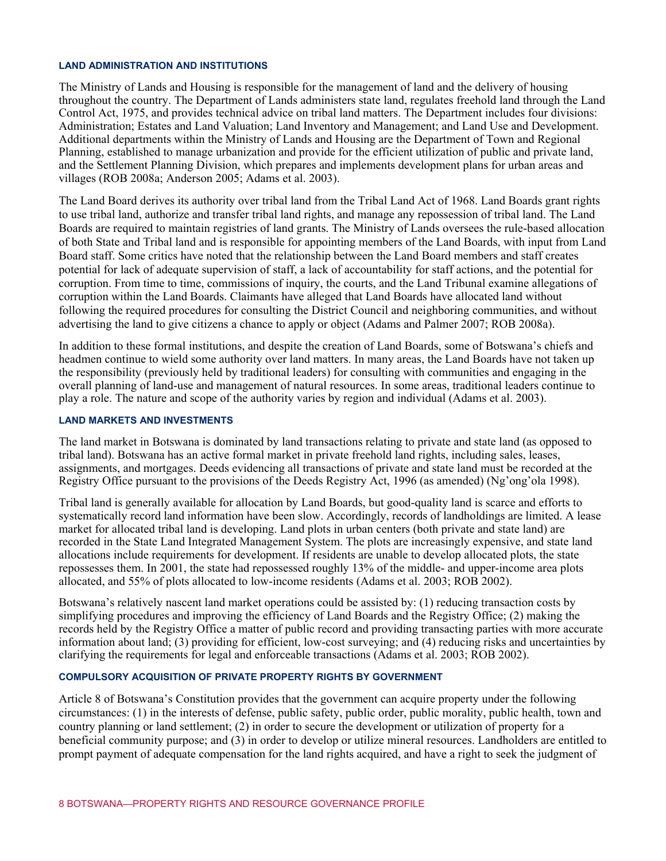#### **LAND ADMINISTRATION AND INSTITUTIONS**

The Ministry of Lands and Housing is responsible for the management of land and the delivery of housing throughout the country. The Department of Lands administers state land, regulates freehold land through the Land Control Act, 1975, and provides technical advice on tribal land matters. The Department includes four divisions: Administration; Estates and Land Valuation; Land Inventory and Management; and Land Use and Development. Additional departments within the Ministry of Lands and Housing are the Department of Town and Regional Planning, established to manage urbanization and provide for the efficient utilization of public and private land, and the Settlement Planning Division, which prepares and implements development plans for urban areas and villages (ROB 2008a; Anderson 2005; Adams et al. 2003).

The Land Board derives its authority over tribal land from the Tribal Land Act of 1968. Land Boards grant rights to use tribal land, authorize and transfer tribal land rights, and manage any repossession of tribal land. The Land Boards are required to maintain registries of land grants. The Ministry of Lands oversees the rule-based allocation of both State and Tribal land and is responsible for appointing members of the Land Boards, with input from Land Board staff. Some critics have noted that the relationship between the Land Board members and staff creates potential for lack of adequate supervision of staff, a lack of accountability for staff actions, and the potential for corruption. From time to time, commissions of inquiry, the courts, and the Land Tribunal examine allegations of corruption within the Land Boards. Claimants have alleged that Land Boards have allocated land without following the required procedures for consulting the District Council and neighboring communities, and without advertising the land to give citizens a chance to apply or object (Adams and Palmer 2007; ROB 2008a).

In addition to these formal institutions, and despite the creation of Land Boards, some of Botswana's chiefs and headmen continue to wield some authority over land matters. In many areas, the Land Boards have not taken up the responsibility (previously held by traditional leaders) for consulting with communities and engaging in the overall planning of land-use and management of natural resources. In some areas, traditional leaders continue to play a role. The nature and scope of the authority varies by region and individual (Adams et al. 2003).

#### **LAND MARKETS AND INVESTMENTS**

The land market in Botswana is dominated by land transactions relating to private and state land (as opposed to tribal land). Botswana has an active formal market in private freehold land rights, including sales, leases, assignments, and mortgages. Deeds evidencing all transactions of private and state land must be recorded at the Registry Office pursuant to the provisions of the Deeds Registry Act, 1996 (as amended) (Ng'ong'ola 1998).

Tribal land is generally available for allocation by Land Boards, but good-quality land is scarce and efforts to systematically record land information have been slow. Accordingly, records of landholdings are limited. A lease market for allocated tribal land is developing. Land plots in urban centers (both private and state land) are recorded in the State Land Integrated Management System. The plots are increasingly expensive, and state land allocations include requirements for development. If residents are unable to develop allocated plots, the state repossesses them. In 2001, the state had repossessed roughly 13% of the middle- and upper-income area plots allocated, and 55% of plots allocated to low-income residents (Adams et al. 2003; ROB 2002).

Botswana's relatively nascent land market operations could be assisted by: (1) reducing transaction costs by simplifying procedures and improving the efficiency of Land Boards and the Registry Office; (2) making the records held by the Registry Office a matter of public record and providing transacting parties with more accurate information about land; (3) providing for efficient, low-cost surveying; and (4) reducing risks and uncertainties by clarifying the requirements for legal and enforceable transactions (Adams et al. 2003; ROB 2002).

#### **COMPULSORY ACQUISITION OF PRIVATE PROPERTY RIGHTS BY GOVERNMENT**

Article 8 of Botswana's Constitution provides that the government can acquire property under the following circumstances: (1) in the interests of defense, public safety, public order, public morality, public health, town and country planning or land settlement; (2) in order to secure the development or utilization of property for a beneficial community purpose; and (3) in order to develop or utilize mineral resources. Landholders are entitled to prompt payment of adequate compensation for the land rights acquired, and have a right to seek the judgment of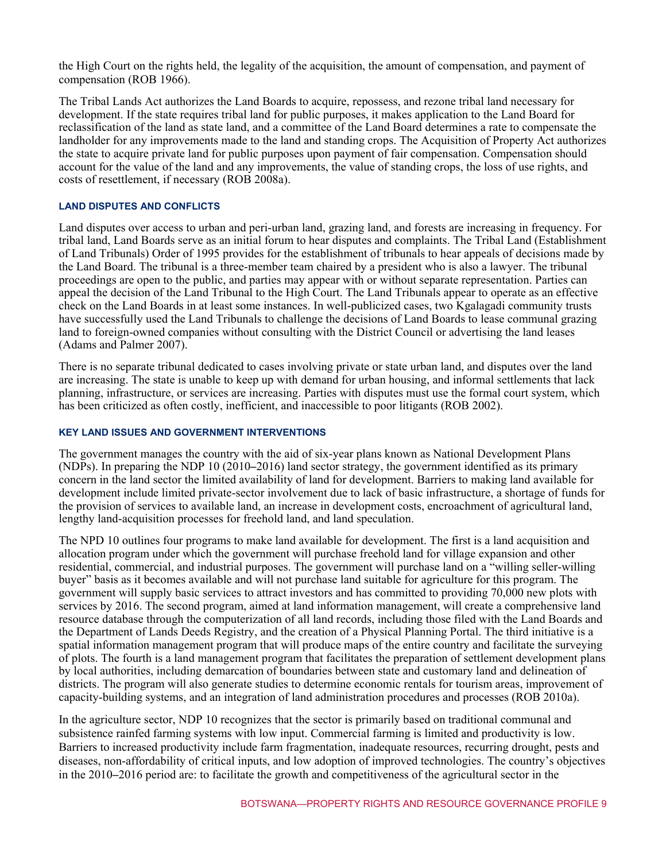the High Court on the rights held, the legality of the acquisition, the amount of compensation, and payment of compensation (ROB 1966).

The Tribal Lands Act authorizes the Land Boards to acquire, repossess, and rezone tribal land necessary for development. If the state requires tribal land for public purposes, it makes application to the Land Board for reclassification of the land as state land, and a committee of the Land Board determines a rate to compensate the landholder for any improvements made to the land and standing crops. The Acquisition of Property Act authorizes the state to acquire private land for public purposes upon payment of fair compensation. Compensation should account for the value of the land and any improvements, the value of standing crops, the loss of use rights, and costs of resettlement, if necessary (ROB 2008a).

#### **LAND DISPUTES AND CONFLICTS**

Land disputes over access to urban and peri-urban land, grazing land, and forests are increasing in frequency. For tribal land, Land Boards serve as an initial forum to hear disputes and complaints. The Tribal Land (Establishment of Land Tribunals) Order of 1995 provides for the establishment of tribunals to hear appeals of decisions made by the Land Board. The tribunal is a three-member team chaired by a president who is also a lawyer. The tribunal proceedings are open to the public, and parties may appear with or without separate representation. Parties can appeal the decision of the Land Tribunal to the High Court. The Land Tribunals appear to operate as an effective check on the Land Boards in at least some instances. In well-publicized cases, two Kgalagadi community trusts have successfully used the Land Tribunals to challenge the decisions of Land Boards to lease communal grazing land to foreign-owned companies without consulting with the District Council or advertising the land leases (Adams and Palmer 2007).

There is no separate tribunal dedicated to cases involving private or state urban land, and disputes over the land are increasing. The state is unable to keep up with demand for urban housing, and informal settlements that lack planning, infrastructure, or services are increasing. Parties with disputes must use the formal court system, which has been criticized as often costly, inefficient, and inaccessible to poor litigants (ROB 2002).

#### **KEY LAND ISSUES AND GOVERNMENT INTERVENTIONS**

The government manages the country with the aid of six-year plans known as National Development Plans (NDPs). In preparing the NDP 10 (2010–2016) land sector strategy, the government identified as its primary concern in the land sector the limited availability of land for development. Barriers to making land available for development include limited private-sector involvement due to lack of basic infrastructure, a shortage of funds for the provision of services to available land, an increase in development costs, encroachment of agricultural land, lengthy land-acquisition processes for freehold land, and land speculation.

The NPD 10 outlines four programs to make land available for development. The first is a land acquisition and allocation program under which the government will purchase freehold land for village expansion and other residential, commercial, and industrial purposes. The government will purchase land on a "willing seller-willing buyer" basis as it becomes available and will not purchase land suitable for agriculture for this program. The government will supply basic services to attract investors and has committed to providing 70,000 new plots with services by 2016. The second program, aimed at land information management, will create a comprehensive land resource database through the computerization of all land records, including those filed with the Land Boards and the Department of Lands Deeds Registry, and the creation of a Physical Planning Portal. The third initiative is a spatial information management program that will produce maps of the entire country and facilitate the surveying of plots. The fourth is a land management program that facilitates the preparation of settlement development plans by local authorities, including demarcation of boundaries between state and customary land and delineation of districts. The program will also generate studies to determine economic rentals for tourism areas, improvement of capacity-building systems, and an integration of land administration procedures and processes (ROB 2010a).

In the agriculture sector, NDP 10 recognizes that the sector is primarily based on traditional communal and subsistence rainfed farming systems with low input. Commercial farming is limited and productivity is low. Barriers to increased productivity include farm fragmentation, inadequate resources, recurring drought, pests and diseases, non-affordability of critical inputs, and low adoption of improved technologies. The country's objectives in the 2010–2016 period are: to facilitate the growth and competitiveness of the agricultural sector in the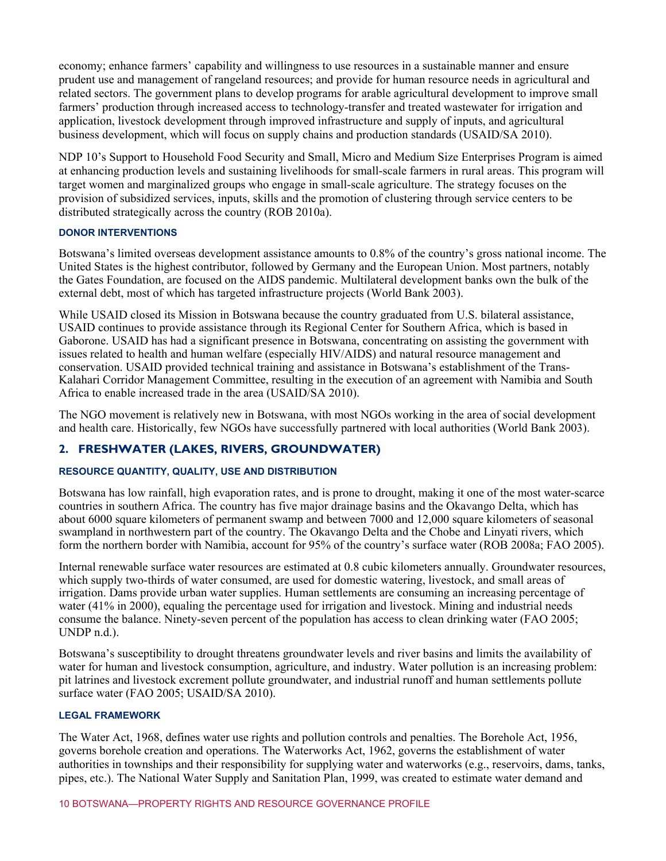economy; enhance farmers' capability and willingness to use resources in a sustainable manner and ensure prudent use and management of rangeland resources; and provide for human resource needs in agricultural and related sectors. The government plans to develop programs for arable agricultural development to improve small farmers' production through increased access to technology-transfer and treated wastewater for irrigation and application, livestock development through improved infrastructure and supply of inputs, and agricultural business development, which will focus on supply chains and production standards (USAID/SA 2010).

NDP 10's Support to Household Food Security and Small, Micro and Medium Size Enterprises Program is aimed at enhancing production levels and sustaining livelihoods for small-scale farmers in rural areas. This program will target women and marginalized groups who engage in small-scale agriculture. The strategy focuses on the provision of subsidized services, inputs, skills and the promotion of clustering through service centers to be distributed strategically across the country (ROB 2010a).

### **DONOR INTERVENTIONS**

Botswana's limited overseas development assistance amounts to 0.8% of the country's gross national income. The United States is the highest contributor, followed by Germany and the European Union. Most partners, notably the Gates Foundation, are focused on the AIDS pandemic. Multilateral development banks own the bulk of the external debt, most of which has targeted infrastructure projects (World Bank 2003).

While USAID closed its Mission in Botswana because the country graduated from U.S. bilateral assistance, USAID continues to provide assistance through its Regional Center for Southern Africa, which is based in Gaborone. USAID has had a significant presence in Botswana, concentrating on assisting the government with issues related to health and human welfare (especially HIV/AIDS) and natural resource management and conservation. USAID provided technical training and assistance in Botswana's establishment of the Trans-Kalahari Corridor Management Committee, resulting in the execution of an agreement with Namibia and South Africa to enable increased trade in the area (USAID/SA 2010).

The NGO movement is relatively new in Botswana, with most NGOs working in the area of social development and health care. Historically, few NGOs have successfully partnered with local authorities (World Bank 2003).

# **2. FRESHWATER (LAKES, RIVERS, GROUNDWATER)**

# **RESOURCE QUANTITY, QUALITY, USE AND DISTRIBUTION**

Botswana has low rainfall, high evaporation rates, and is prone to drought, making it one of the most water-scarce countries in southern Africa. The country has five major drainage basins and the Okavango Delta, which has about 6000 square kilometers of permanent swamp and between 7000 and 12,000 square kilometers of seasonal swampland in northwestern part of the country. The Okavango Delta and the Chobe and Linyati rivers, which form the northern border with Namibia, account for 95% of the country's surface water (ROB 2008a; FAO 2005).

Internal renewable surface water resources are estimated at 0.8 cubic kilometers annually. Groundwater resources, which supply two-thirds of water consumed, are used for domestic watering, livestock, and small areas of irrigation. Dams provide urban water supplies. Human settlements are consuming an increasing percentage of water (41% in 2000), equaling the percentage used for irrigation and livestock. Mining and industrial needs consume the balance. Ninety-seven percent of the population has access to clean drinking water (FAO 2005; UNDP n.d.).

Botswana's susceptibility to drought threatens groundwater levels and river basins and limits the availability of water for human and livestock consumption, agriculture, and industry. Water pollution is an increasing problem: pit latrines and livestock excrement pollute groundwater, and industrial runoff and human settlements pollute surface water (FAO 2005; USAID/SA 2010).

#### **LEGAL FRAMEWORK**

The Water Act, 1968, defines water use rights and pollution controls and penalties. The Borehole Act, 1956, governs borehole creation and operations. The Waterworks Act, 1962, governs the establishment of water authorities in townships and their responsibility for supplying water and waterworks (e.g., reservoirs, dams, tanks, pipes, etc.). The National Water Supply and Sanitation Plan, 1999, was created to estimate water demand and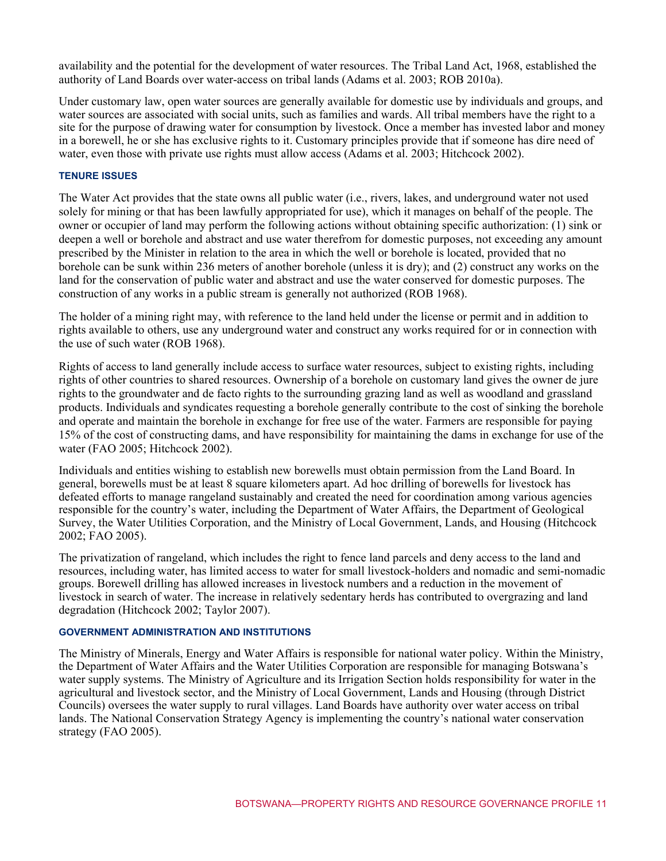availability and the potential for the development of water resources. The Tribal Land Act, 1968, established the authority of Land Boards over water-access on tribal lands (Adams et al. 2003; ROB 2010a).

Under customary law, open water sources are generally available for domestic use by individuals and groups, and water sources are associated with social units, such as families and wards. All tribal members have the right to a site for the purpose of drawing water for consumption by livestock. Once a member has invested labor and money in a borewell, he or she has exclusive rights to it. Customary principles provide that if someone has dire need of water, even those with private use rights must allow access (Adams et al. 2003; Hitchcock 2002).

#### **TENURE ISSUES**

The Water Act provides that the state owns all public water (i.e., rivers, lakes, and underground water not used solely for mining or that has been lawfully appropriated for use), which it manages on behalf of the people. The owner or occupier of land may perform the following actions without obtaining specific authorization: (1) sink or deepen a well or borehole and abstract and use water therefrom for domestic purposes, not exceeding any amount prescribed by the Minister in relation to the area in which the well or borehole is located, provided that no borehole can be sunk within 236 meters of another borehole (unless it is dry); and (2) construct any works on the land for the conservation of public water and abstract and use the water conserved for domestic purposes. The construction of any works in a public stream is generally not authorized (ROB 1968).

The holder of a mining right may, with reference to the land held under the license or permit and in addition to rights available to others, use any underground water and construct any works required for or in connection with the use of such water (ROB 1968).

Rights of access to land generally include access to surface water resources, subject to existing rights, including rights of other countries to shared resources. Ownership of a borehole on customary land gives the owner de jure rights to the groundwater and de facto rights to the surrounding grazing land as well as woodland and grassland products. Individuals and syndicates requesting a borehole generally contribute to the cost of sinking the borehole and operate and maintain the borehole in exchange for free use of the water. Farmers are responsible for paying 15% of the cost of constructing dams, and have responsibility for maintaining the dams in exchange for use of the water (FAO 2005; Hitchcock 2002).

Individuals and entities wishing to establish new borewells must obtain permission from the Land Board. In general, borewells must be at least 8 square kilometers apart. Ad hoc drilling of borewells for livestock has defeated efforts to manage rangeland sustainably and created the need for coordination among various agencies responsible for the country's water, including the Department of Water Affairs, the Department of Geological Survey, the Water Utilities Corporation, and the Ministry of Local Government, Lands, and Housing (Hitchcock 2002; FAO 2005).

The privatization of rangeland, which includes the right to fence land parcels and deny access to the land and resources, including water, has limited access to water for small livestock-holders and nomadic and semi-nomadic groups. Borewell drilling has allowed increases in livestock numbers and a reduction in the movement of livestock in search of water. The increase in relatively sedentary herds has contributed to overgrazing and land degradation (Hitchcock 2002; Taylor 2007).

#### **GOVERNMENT ADMINISTRATION AND INSTITUTIONS**

The Ministry of Minerals, Energy and Water Affairs is responsible for national water policy. Within the Ministry, the Department of Water Affairs and the Water Utilities Corporation are responsible for managing Botswana's water supply systems. The Ministry of Agriculture and its Irrigation Section holds responsibility for water in the agricultural and livestock sector, and the Ministry of Local Government, Lands and Housing (through District Councils) oversees the water supply to rural villages. Land Boards have authority over water access on tribal lands. The National Conservation Strategy Agency is implementing the country's national water conservation strategy (FAO 2005).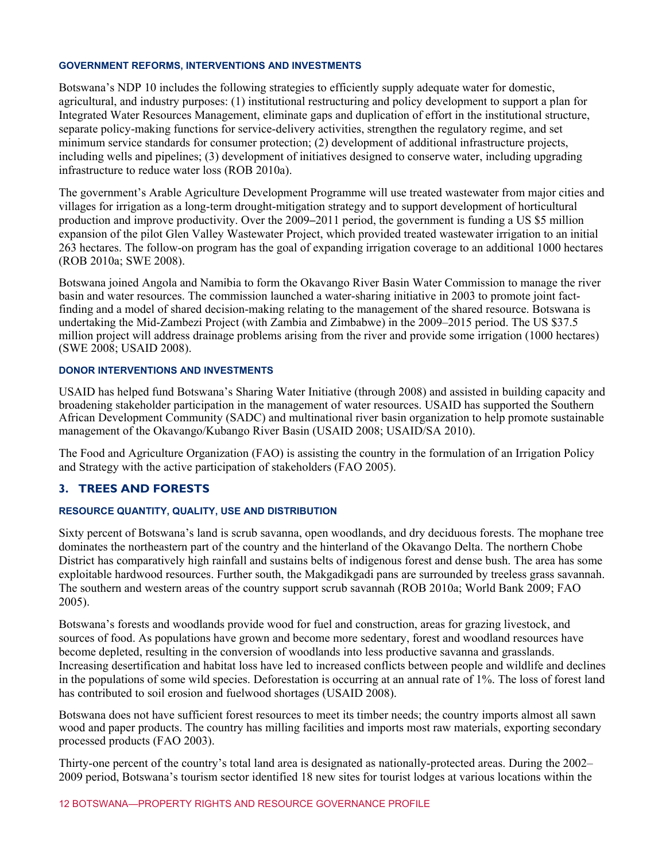#### **GOVERNMENT REFORMS, INTERVENTIONS AND INVESTMENTS**

Botswana's NDP 10 includes the following strategies to efficiently supply adequate water for domestic, agricultural, and industry purposes: (1) institutional restructuring and policy development to support a plan for Integrated Water Resources Management, eliminate gaps and duplication of effort in the institutional structure, separate policy-making functions for service-delivery activities, strengthen the regulatory regime, and set minimum service standards for consumer protection; (2) development of additional infrastructure projects, including wells and pipelines; (3) development of initiatives designed to conserve water, including upgrading infrastructure to reduce water loss (ROB 2010a).

The government's Arable Agriculture Development Programme will use treated wastewater from major cities and villages for irrigation as a long-term drought-mitigation strategy and to support development of horticultural production and improve productivity. Over the 2009–2011 period, the government is funding a US \$5 million expansion of the pilot Glen Valley Wastewater Project, which provided treated wastewater irrigation to an initial 263 hectares. The follow-on program has the goal of expanding irrigation coverage to an additional 1000 hectares (ROB 2010a; SWE 2008).

Botswana joined Angola and Namibia to form the Okavango River Basin Water Commission to manage the river basin and water resources. The commission launched a water-sharing initiative in 2003 to promote joint factfinding and a model of shared decision-making relating to the management of the shared resource. Botswana is undertaking the Mid-Zambezi Project (with Zambia and Zimbabwe) in the 2009–2015 period. The US \$37.5 million project will address drainage problems arising from the river and provide some irrigation (1000 hectares) (SWE 2008; USAID 2008).

#### **DONOR INTERVENTIONS AND INVESTMENTS**

USAID has helped fund Botswana's Sharing Water Initiative (through 2008) and assisted in building capacity and broadening stakeholder participation in the management of water resources. USAID has supported the Southern African Development Community (SADC) and multinational river basin organization to help promote sustainable management of the Okavango/Kubango River Basin (USAID 2008; USAID/SA 2010).

The Food and Agriculture Organization (FAO) is assisting the country in the formulation of an Irrigation Policy and Strategy with the active participation of stakeholders (FAO 2005).

# **3. TREES AND FORESTS**

#### **RESOURCE QUANTITY, QUALITY, USE AND DISTRIBUTION**

Sixty percent of Botswana's land is scrub savanna, open woodlands, and dry deciduous forests. The mophane tree dominates the northeastern part of the country and the hinterland of the Okavango Delta. The northern Chobe District has comparatively high rainfall and sustains belts of indigenous forest and dense bush. The area has some exploitable hardwood resources. Further south, the Makgadikgadi pans are surrounded by treeless grass savannah. The southern and western areas of the country support scrub savannah (ROB 2010a; World Bank 2009; FAO 2005).

Botswana's forests and woodlands provide wood for fuel and construction, areas for grazing livestock, and sources of food. As populations have grown and become more sedentary, forest and woodland resources have become depleted, resulting in the conversion of woodlands into less productive savanna and grasslands. Increasing desertification and habitat loss have led to increased conflicts between people and wildlife and declines in the populations of some wild species. Deforestation is occurring at an annual rate of 1%. The loss of forest land has contributed to soil erosion and fuelwood shortages (USAID 2008).

Botswana does not have sufficient forest resources to meet its timber needs; the country imports almost all sawn wood and paper products. The country has milling facilities and imports most raw materials, exporting secondary processed products (FAO 2003).

Thirty-one percent of the country's total land area is designated as nationally-protected areas. During the 2002– 2009 period, Botswana's tourism sector identified 18 new sites for tourist lodges at various locations within the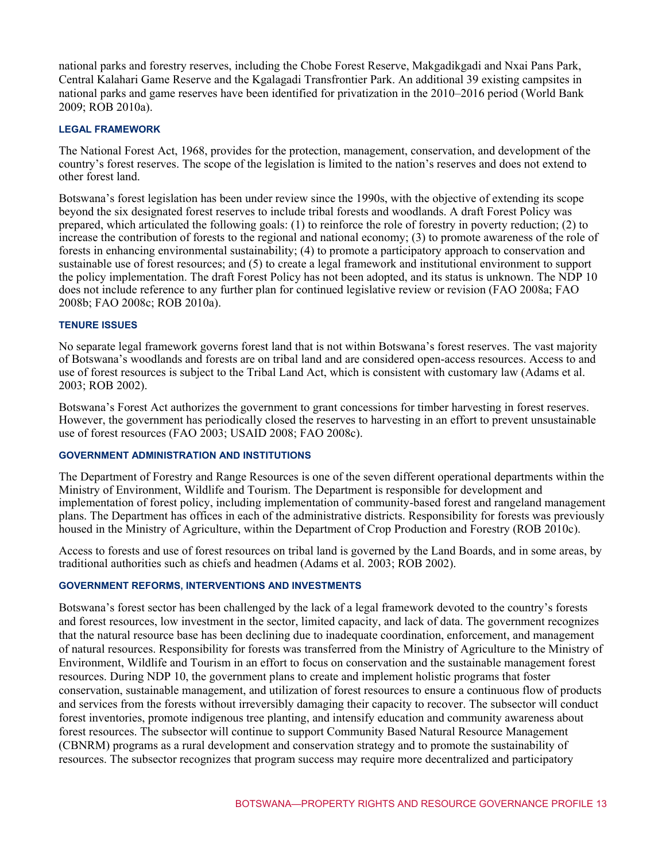national parks and forestry reserves, including the Chobe Forest Reserve, Makgadikgadi and Nxai Pans Park, Central Kalahari Game Reserve and the Kgalagadi Transfrontier Park. An additional 39 existing campsites in national parks and game reserves have been identified for privatization in the 2010–2016 period (World Bank 2009; ROB 2010a).

#### **LEGAL FRAMEWORK**

The National Forest Act, 1968, provides for the protection, management, conservation, and development of the country's forest reserves. The scope of the legislation is limited to the nation's reserves and does not extend to other forest land.

Botswana's forest legislation has been under review since the 1990s, with the objective of extending its scope beyond the six designated forest reserves to include tribal forests and woodlands. A draft Forest Policy was prepared, which articulated the following goals: (1) to reinforce the role of forestry in poverty reduction; (2) to increase the contribution of forests to the regional and national economy; (3) to promote awareness of the role of forests in enhancing environmental sustainability; (4) to promote a participatory approach to conservation and sustainable use of forest resources; and (5) to create a legal framework and institutional environment to support the policy implementation. The draft Forest Policy has not been adopted, and its status is unknown. The NDP 10 does not include reference to any further plan for continued legislative review or revision (FAO 2008a; FAO 2008b; FAO 2008c; ROB 2010a).

#### **TENURE ISSUES**

No separate legal framework governs forest land that is not within Botswana's forest reserves. The vast majority of Botswana's woodlands and forests are on tribal land and are considered open-access resources. Access to and use of forest resources is subject to the Tribal Land Act, which is consistent with customary law (Adams et al. 2003; ROB 2002).

Botswana's Forest Act authorizes the government to grant concessions for timber harvesting in forest reserves. However, the government has periodically closed the reserves to harvesting in an effort to prevent unsustainable use of forest resources (FAO 2003; USAID 2008; FAO 2008c).

#### **GOVERNMENT ADMINISTRATION AND INSTITUTIONS**

The Department of Forestry and Range Resources is one of the seven different operational departments within the Ministry of Environment, Wildlife and Tourism. The Department is responsible for development and implementation of forest policy, including implementation of community-based forest and rangeland management plans. The Department has offices in each of the administrative districts. Responsibility for forests was previously housed in the Ministry of Agriculture, within the Department of Crop Production and Forestry (ROB 2010c).

Access to forests and use of forest resources on tribal land is governed by the Land Boards, and in some areas, by traditional authorities such as chiefs and headmen (Adams et al. 2003; ROB 2002).

# **GOVERNMENT REFORMS, INTERVENTIONS AND INVESTMENTS**

Botswana's forest sector has been challenged by the lack of a legal framework devoted to the country's forests and forest resources, low investment in the sector, limited capacity, and lack of data. The government recognizes that the natural resource base has been declining due to inadequate coordination, enforcement, and management of natural resources. Responsibility for forests was transferred from the Ministry of Agriculture to the Ministry of Environment, Wildlife and Tourism in an effort to focus on conservation and the sustainable management forest resources. During NDP 10, the government plans to create and implement holistic programs that foster conservation, sustainable management, and utilization of forest resources to ensure a continuous flow of products and services from the forests without irreversibly damaging their capacity to recover. The subsector will conduct forest inventories, promote indigenous tree planting, and intensify education and community awareness about forest resources. The subsector will continue to support Community Based Natural Resource Management (CBNRM) programs as a rural development and conservation strategy and to promote the sustainability of resources. The subsector recognizes that program success may require more decentralized and participatory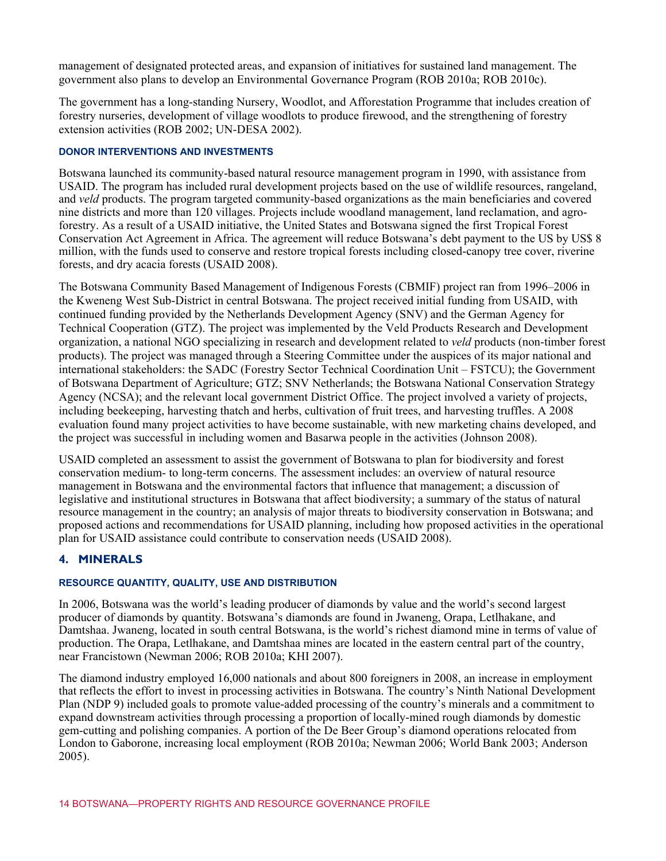management of designated protected areas, and expansion of initiatives for sustained land management. The government also plans to develop an Environmental Governance Program (ROB 2010a; ROB 2010c).

The government has a long-standing Nursery, Woodlot, and Afforestation Programme that includes creation of forestry nurseries, development of village woodlots to produce firewood, and the strengthening of forestry extension activities (ROB 2002; UN-DESA 2002).

#### **DONOR INTERVENTIONS AND INVESTMENTS**

Botswana launched its community-based natural resource management program in 1990, with assistance from USAID. The program has included rural development projects based on the use of wildlife resources, rangeland, and *veld* products. The program targeted community-based organizations as the main beneficiaries and covered nine districts and more than 120 villages. Projects include woodland management, land reclamation, and agroforestry. As a result of a USAID initiative, the United States and Botswana signed the first Tropical Forest Conservation Act Agreement in Africa. The agreement will reduce Botswana's debt payment to the US by US\$ 8 million, with the funds used to conserve and restore tropical forests including closed-canopy tree cover, riverine forests, and dry acacia forests (USAID 2008).

The Botswana Community Based Management of Indigenous Forests (CBMIF) project ran from 1996–2006 in the Kweneng West Sub-District in central Botswana. The project received initial funding from USAID, with continued funding provided by the Netherlands Development Agency (SNV) and the German Agency for Technical Cooperation (GTZ). The project was implemented by the Veld Products Research and Development organization, a national NGO specializing in research and development related to *veld* products (non-timber forest products). The project was managed through a Steering Committee under the auspices of its major national and international stakeholders: the SADC (Forestry Sector Technical Coordination Unit – FSTCU); the Government of Botswana Department of Agriculture; GTZ; SNV Netherlands; the Botswana National Conservation Strategy Agency (NCSA); and the relevant local government District Office. The project involved a variety of projects, including beekeeping, harvesting thatch and herbs, cultivation of fruit trees, and harvesting truffles. A 2008 evaluation found many project activities to have become sustainable, with new marketing chains developed, and the project was successful in including women and Basarwa people in the activities (Johnson 2008).

USAID completed an assessment to assist the government of Botswana to plan for biodiversity and forest conservation medium- to long-term concerns. The assessment includes: an overview of natural resource management in Botswana and the environmental factors that influence that management; a discussion of legislative and institutional structures in Botswana that affect biodiversity; a summary of the status of natural resource management in the country; an analysis of major threats to biodiversity conservation in Botswana; and proposed actions and recommendations for USAID planning, including how proposed activities in the operational plan for USAID assistance could contribute to conservation needs (USAID 2008).

# **4. MINERALS**

#### **RESOURCE QUANTITY, QUALITY, USE AND DISTRIBUTION**

In 2006, Botswana was the world's leading producer of diamonds by value and the world's second largest producer of diamonds by quantity. Botswana's diamonds are found in Jwaneng, Orapa, Letlhakane, and Damtshaa. Jwaneng, located in south central Botswana, is the world's richest diamond mine in terms of value of production. The Orapa, Letlhakane, and Damtshaa mines are located in the eastern central part of the country, near Francistown (Newman 2006; ROB 2010a; KHI 2007).

The diamond industry employed 16,000 nationals and about 800 foreigners in 2008, an increase in employment that reflects the effort to invest in processing activities in Botswana. The country's Ninth National Development Plan (NDP 9) included goals to promote value-added processing of the country's minerals and a commitment to expand downstream activities through processing a proportion of locally-mined rough diamonds by domestic gem-cutting and polishing companies. A portion of the De Beer Group's diamond operations relocated from London to Gaborone, increasing local employment (ROB 2010a; Newman 2006; World Bank 2003; Anderson 2005).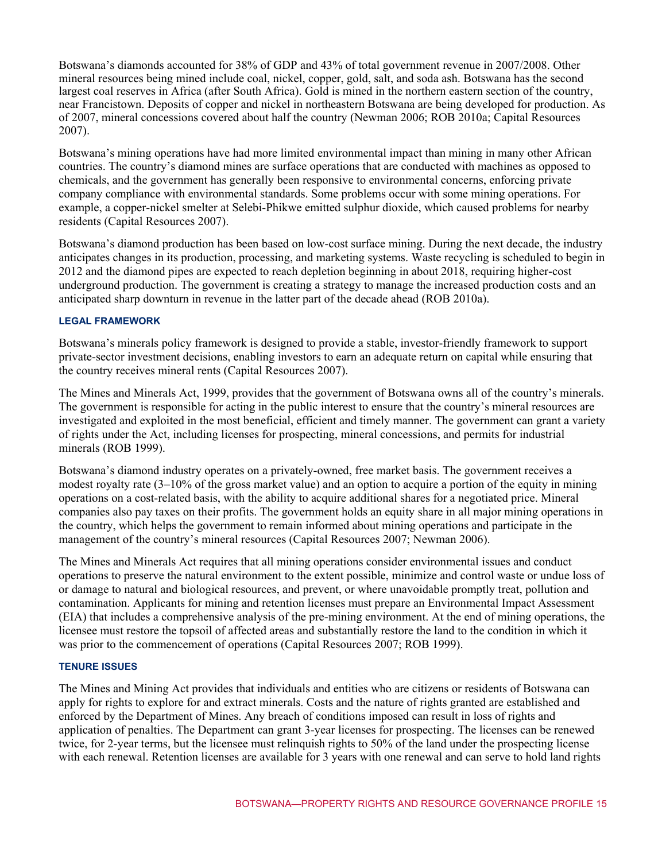Botswana's diamonds accounted for 38% of GDP and 43% of total government revenue in 2007/2008. Other mineral resources being mined include coal, nickel, copper, gold, salt, and soda ash. Botswana has the second largest coal reserves in Africa (after South Africa). Gold is mined in the northern eastern section of the country, near Francistown. Deposits of copper and nickel in northeastern Botswana are being developed for production. As of 2007, mineral concessions covered about half the country (Newman 2006; ROB 2010a; Capital Resources 2007).

Botswana's mining operations have had more limited environmental impact than mining in many other African countries. The country's diamond mines are surface operations that are conducted with machines as opposed to chemicals, and the government has generally been responsive to environmental concerns, enforcing private company compliance with environmental standards. Some problems occur with some mining operations. For example, a copper-nickel smelter at Selebi-Phikwe emitted sulphur dioxide, which caused problems for nearby residents (Capital Resources 2007).

Botswana's diamond production has been based on low-cost surface mining. During the next decade, the industry anticipates changes in its production, processing, and marketing systems. Waste recycling is scheduled to begin in 2012 and the diamond pipes are expected to reach depletion beginning in about 2018, requiring higher-cost underground production. The government is creating a strategy to manage the increased production costs and an anticipated sharp downturn in revenue in the latter part of the decade ahead (ROB 2010a).

### **LEGAL FRAMEWORK**

Botswana's minerals policy framework is designed to provide a stable, investor-friendly framework to support private-sector investment decisions, enabling investors to earn an adequate return on capital while ensuring that the country receives mineral rents (Capital Resources 2007).

The Mines and Minerals Act, 1999, provides that the government of Botswana owns all of the country's minerals. The government is responsible for acting in the public interest to ensure that the country's mineral resources are investigated and exploited in the most beneficial, efficient and timely manner. The government can grant a variety of rights under the Act, including licenses for prospecting, mineral concessions, and permits for industrial minerals (ROB 1999).

Botswana's diamond industry operates on a privately-owned, free market basis. The government receives a modest royalty rate (3–10% of the gross market value) and an option to acquire a portion of the equity in mining operations on a cost-related basis, with the ability to acquire additional shares for a negotiated price. Mineral companies also pay taxes on their profits. The government holds an equity share in all major mining operations in the country, which helps the government to remain informed about mining operations and participate in the management of the country's mineral resources (Capital Resources 2007; Newman 2006).

The Mines and Minerals Act requires that all mining operations consider environmental issues and conduct operations to preserve the natural environment to the extent possible, minimize and control waste or undue loss of or damage to natural and biological resources, and prevent, or where unavoidable promptly treat, pollution and contamination. Applicants for mining and retention licenses must prepare an Environmental Impact Assessment (EIA) that includes a comprehensive analysis of the pre-mining environment. At the end of mining operations, the licensee must restore the topsoil of affected areas and substantially restore the land to the condition in which it was prior to the commencement of operations (Capital Resources 2007; ROB 1999).

#### **TENURE ISSUES**

The Mines and Mining Act provides that individuals and entities who are citizens or residents of Botswana can apply for rights to explore for and extract minerals. Costs and the nature of rights granted are established and enforced by the Department of Mines. Any breach of conditions imposed can result in loss of rights and application of penalties. The Department can grant 3-year licenses for prospecting. The licenses can be renewed twice, for 2-year terms, but the licensee must relinquish rights to 50% of the land under the prospecting license with each renewal. Retention licenses are available for 3 years with one renewal and can serve to hold land rights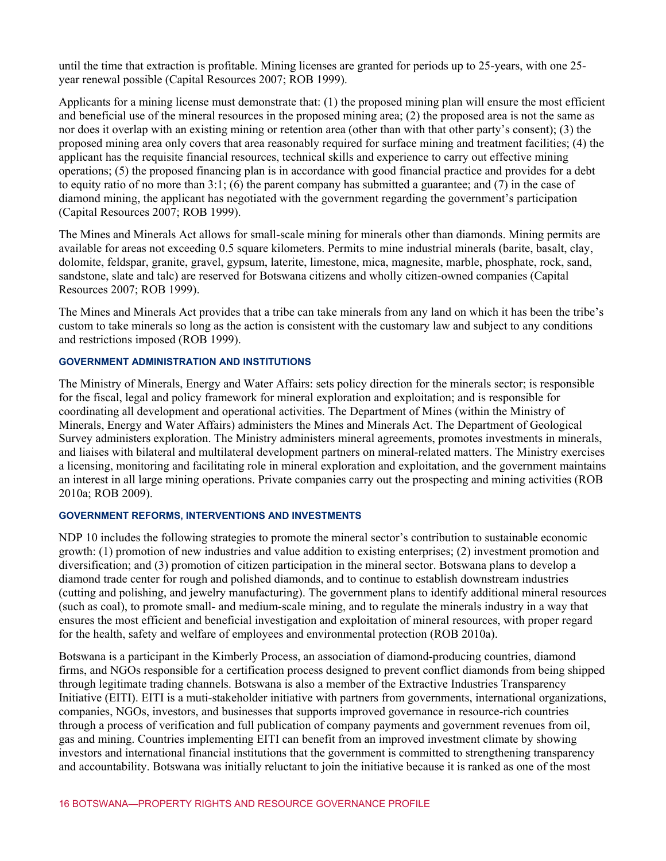until the time that extraction is profitable. Mining licenses are granted for periods up to 25-years, with one 25 year renewal possible (Capital Resources 2007; ROB 1999).

Applicants for a mining license must demonstrate that: (1) the proposed mining plan will ensure the most efficient and beneficial use of the mineral resources in the proposed mining area; (2) the proposed area is not the same as nor does it overlap with an existing mining or retention area (other than with that other party's consent); (3) the proposed mining area only covers that area reasonably required for surface mining and treatment facilities; (4) the applicant has the requisite financial resources, technical skills and experience to carry out effective mining operations; (5) the proposed financing plan is in accordance with good financial practice and provides for a debt to equity ratio of no more than 3:1; (6) the parent company has submitted a guarantee; and (7) in the case of diamond mining, the applicant has negotiated with the government regarding the government's participation (Capital Resources 2007; ROB 1999).

The Mines and Minerals Act allows for small-scale mining for minerals other than diamonds. Mining permits are available for areas not exceeding 0.5 square kilometers. Permits to mine industrial minerals (barite, basalt, clay, dolomite, feldspar, granite, gravel, gypsum, laterite, limestone, mica, magnesite, marble, phosphate, rock, sand, sandstone, slate and talc) are reserved for Botswana citizens and wholly citizen-owned companies (Capital Resources 2007; ROB 1999).

The Mines and Minerals Act provides that a tribe can take minerals from any land on which it has been the tribe's custom to take minerals so long as the action is consistent with the customary law and subject to any conditions and restrictions imposed (ROB 1999).

#### **GOVERNMENT ADMINISTRATION AND INSTITUTIONS**

The Ministry of Minerals, Energy and Water Affairs: sets policy direction for the minerals sector; is responsible for the fiscal, legal and policy framework for mineral exploration and exploitation; and is responsible for coordinating all development and operational activities. The Department of Mines (within the Ministry of Minerals, Energy and Water Affairs) administers the Mines and Minerals Act. The Department of Geological Survey administers exploration. The Ministry administers mineral agreements, promotes investments in minerals, and liaises with bilateral and multilateral development partners on mineral-related matters. The Ministry exercises a licensing, monitoring and facilitating role in mineral exploration and exploitation, and the government maintains an interest in all large mining operations. Private companies carry out the prospecting and mining activities (ROB 2010a; ROB 2009).

#### **GOVERNMENT REFORMS, INTERVENTIONS AND INVESTMENTS**

NDP 10 includes the following strategies to promote the mineral sector's contribution to sustainable economic growth: (1) promotion of new industries and value addition to existing enterprises; (2) investment promotion and diversification; and (3) promotion of citizen participation in the mineral sector. Botswana plans to develop a diamond trade center for rough and polished diamonds, and to continue to establish downstream industries (cutting and polishing, and jewelry manufacturing). The government plans to identify additional mineral resources (such as coal), to promote small- and medium-scale mining, and to regulate the minerals industry in a way that ensures the most efficient and beneficial investigation and exploitation of mineral resources, with proper regard for the health, safety and welfare of employees and environmental protection (ROB 2010a).

Botswana is a participant in the Kimberly Process, an association of diamond-producing countries, diamond firms, and NGOs responsible for a certification process designed to prevent conflict diamonds from being shipped through legitimate trading channels. Botswana is also a member of the Extractive Industries Transparency Initiative (EITI). EITI is a muti-stakeholder initiative with partners from governments, international organizations, companies, NGOs, investors, and businesses that supports improved governance in resource-rich countries through a process of verification and full publication of company payments and government revenues from oil, gas and mining. Countries implementing EITI can benefit from an improved investment climate by showing investors and international financial institutions that the government is committed to strengthening transparency and accountability. Botswana was initially reluctant to join the initiative because it is ranked as one of the most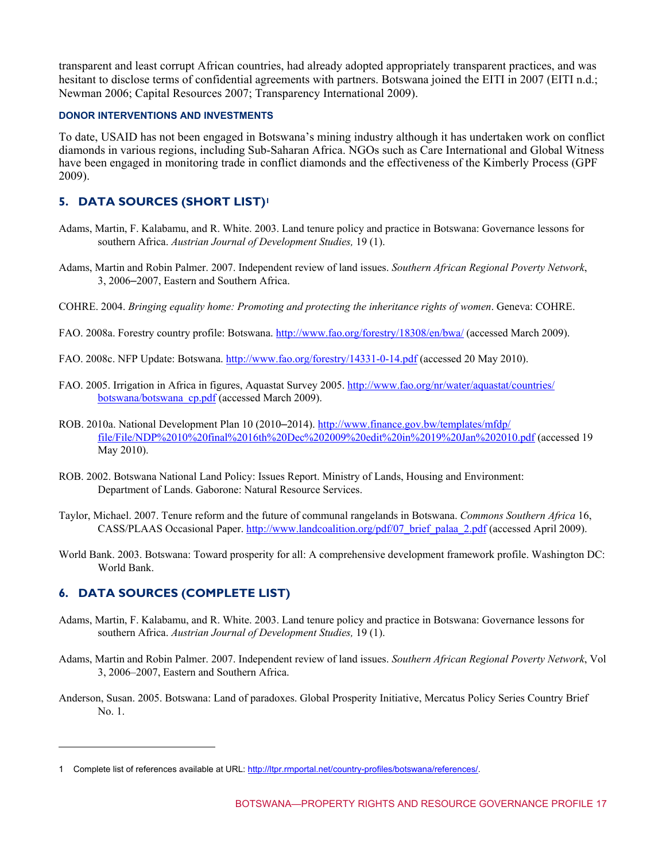transparent and least corrupt African countries, had already adopted appropriately transparent practices, and was hesitant to disclose terms of confidential agreements with partners. Botswana joined the EITI in 2007 (EITI n.d.; Newman 2006; Capital Resources 2007; Transparency International 2009).

#### **DONOR INTERVENTIONS AND INVESTMENTS**

To date, USAID has not been engaged in Botswana's mining industry although it has undertaken work on conflict diamonds in various regions, including Sub-Saharan Africa. NGOs such as Care International and Global Witness have been engaged in monitoring trade in conflict diamonds and the effectiveness of the Kimberly Process (GPF 2009).

# **5. DATA SOURCES (SHORT LIST)<sup>1</sup>**

- Adams, Martin, F. Kalabamu, and R. White. 2003. Land tenure policy and practice in Botswana: Governance lessons for southern Africa. *Austrian Journal of Development Studies,* 19 (1).
- Adams, Martin and Robin Palmer. 2007. Independent review of land issues. *Southern African Regional Poverty Network*, 3, 2006–2007, Eastern and Southern Africa.
- COHRE. 2004. *Bringing equality home: Promoting and protecting the inheritance rights of women*. Geneva: COHRE.
- FAO. 2008a. Forestry country profile: Botswana. [http://www.fao.org/forestry/18308/en/bwa/](http//www.fao.org/forestry/18308/en/bwa/) (accessed March 2009).
- FAO. 2008c. NFP Update: Botswana.<http://www.fao.org/forestry/14331-0-14.pdf>(accessed 20 May 2010).
- FAO. 20[05. Irrigation in Africa in figures, Aquastat Survey 2005. http://www.fao.org/nr/water/aquastat/countries/](http://www.fao.org/nr/water/aquastat/countries/botswana/botswana_cp.pdf) botswana/botswana\_cp.pdf (accessed March 2009).
- ROB. 2010a. National Development Plan 10 (2010–2014). http://www.finance.gov.bw/templates/mfdp/ [file/File/NDP%2010%20final%2016th%20Dec%202009%20edit%20in%2019%20Jan%202010.pdf](http://www.finance.gov.bw/templates/mfdp/file/File/NDP%2010%20final%2016th%20Dec%202009%20edit%20in%202019%20Jan%202010.pdf) (accessed 19 May 2010).
- ROB. 2002. Botswana National Land Policy: Issues Report. Ministry of Lands, Housing and Environment: Department of Lands. Gaborone: Natural Resource Services.
- Taylor, Michael. 2007. Tenure reform and the future of communal rangelands in Botswana. *Commons Southern Africa* 16, CASS/PLAAS Occasional Paper. http://www.landcoalition.org/pdf/07 brief palaa 2.pdf (accessed April 2009).
- World Bank. 2003. Botswana: Toward prosperity for all: A comprehensive development framework profile. Washington DC: World Bank.

# **6. DATA SOURCES (COMPLETE LIST)**

l

- Adams, Martin, F. Kalabamu, and R. White. 2003. Land tenure policy and practice in Botswana: Governance lessons for southern Africa. *Austrian Journal of Development Studies,* 19 (1).
- Adams, Martin and Robin Palmer. 2007. Independent review of land issues. *Southern African Regional Poverty Network*, Vol 3, 2006–2007, Eastern and Southern Africa.
- Anderson, Susan. 2005. Botswana: Land of paradoxes. Global Prosperity Initiative, Mercatus Policy Series Country Brief No. 1.

<sup>1</sup> Complete list of references available at URL: http://ltpr.rmportal.net/country-profiles/botswana/references/.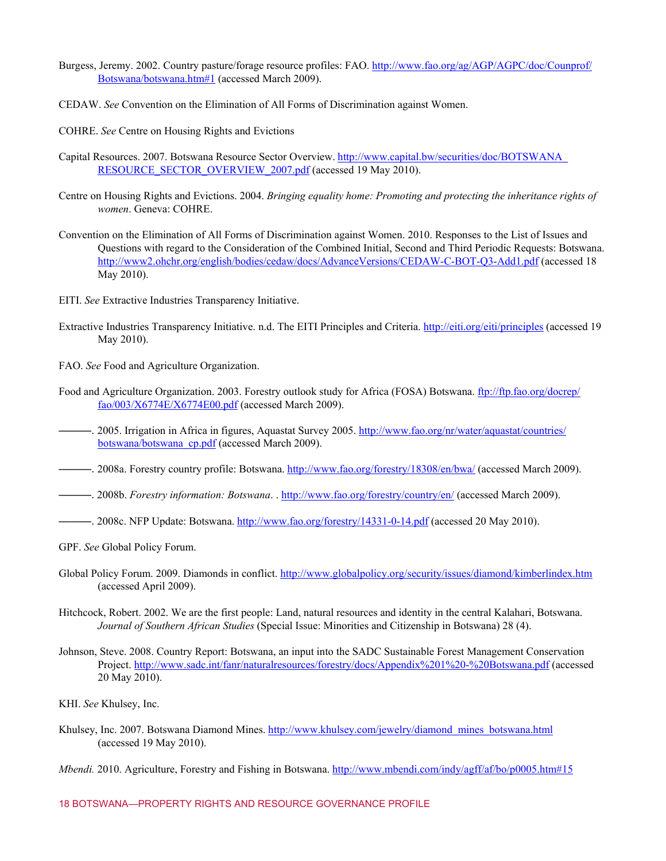- Burgess, [Jeremy. 2002. Country pasture/forage resource profiles: FAO. http://www.fao.org/ag/AGP/AGPC/doc/Counprof/](http://www.fao.org/ag/AGP/AGPC/doc/Counprof/Botswana/botswana.htm#1) Botswana/botswana.htm#1 (accessed March 2009).
- CEDAW. *See* Convention on the Elimination of All Forms of Discrimination against Women.
- COHRE. *See* Centre on Housing Rights and Evictions
- Capital [Resources. 2007. Botswana Resource Sector Overview. http://www.capital.bw/securities/doc/BOTSWANA\\_](http://www.capital.bw/securities/doc/BOTSWANA_RESOURCE_SECTOR_OVERVIEW_2007.pdf) RESOURCE\_SECTOR\_OVERVIEW\_2007.pdf (accessed 19 May 2010).
- Centre on Housing Rights and Evictions. 2004. *Bringing equality home: Promoting and protecting the inheritance rights of women*. Geneva: COHRE.
- Convention on the Elimination of All Forms of Discrimination against Women. 2010. Responses to the List of Issues and Questions with regard to the Consideration of the Combined Initial, Second and Third Periodic Requests: Botswana. [http://www2.ohchr.org/english/bodies/cedaw/docs/AdvanceVersions/CEDAW-C-BOT-Q3-Add1.pdf \(](http://www2.ohchr.org/english/bodies/cedaw/docs/AdvanceVersions/CEDAW-C-BOT-Q3-Add1.pdf)accessed 18 May 2010).
- EITI. *See* Extractive Industries Transparency Initiative.
- Extractive Industries Transparency Initiative. n.d. The EITI Principles and Criteria.<http://eiti.org/eiti/principles>(accessed 19 May 2010).
- FAO. *See* Food and Agriculture Organization.
- Food an[d Agriculture Organization. 2003. Forestry outlook study for Africa \(FOSA\) Botswana. ftp://ftp.fao.org/docrep/](ftp://ftp.fao.org/doccrep/fao/003/X6774E/X6774E00.pdf) fao/003/X6774E/X6774E00.pdf (accessed March 2009).
- —. [2005. Irrigation in Africa in figures, Aquastat Survey 2005. http://www.fao.org/nr/water/aquastat/countries/](http://www.fao.org/nr/water/aquastat/countries/botswana/botswana_cp.pdf) botswana/botswana\_cp.pdf (accessed March 2009).
- ———. 2008a. Forestry country profile: Botswana.<http://www.fao.org/forestry/18308/en/bwa/>(accessed March 2009).
- ———. 2008b. *Forestry information: Botswana*. . [http://www.fao.org/forestry/country/en/ \(](http://www.fao.org/forestry/country/en/)accessed March 2009).
- ———. 2008c. NFP Update: Botswana. [http://www.fao.org/forestry/14331-0-14.pdf \(](http://www.fao.org/forestry/14331-0-14.pdf)accessed 20 May 2010).
- GPF. *See* Global Policy Forum.
- Global Policy Forum. 2009. Diamonds in conflict.<http://www.globalpolicy.org/security/issues/diamond/kimberlindex.htm> (accessed April 2009).
- Hitchcock, Robert. 2002. We are the first people: Land, natural resources and identity in the central Kalahari, Botswana. *Journal of Southern African Studies* (Special Issue: Minorities and Citizenship in Botswana) 28 (4).
- Johnson, Steve. 2008. Country Report: Botswana, an input into the SADC Sustainable Forest Management Conservation Project. [http://www.sadc.int/fanr/naturalresources/forestry/docs/Appendix%201%20-%20Botswana.pdf \(](http://www.sadc.int/fanr/naturalresources/forestry/docs/Appendix%201%20-%20Botswana.pdf)accessed 20 May 2010).
- KHI. *See* Khulsey, Inc.
- Khulsey, Inc. 2007. Botswana Diamond Mines. http://www.khulsey.com/jewelry/diamond\_mines\_botswana.html (accessed 19 May 2010).
- *Mbendi.* 2010. Agriculture, Forestry and Fishing in Botswana.<http://www.mbendi.com/indy/agff/af/bo/p0005.htm#15>

#### 18 BOTSWANA—PROPERTY RIGHTS AND RESOURCE GOVERNANCE PROFILE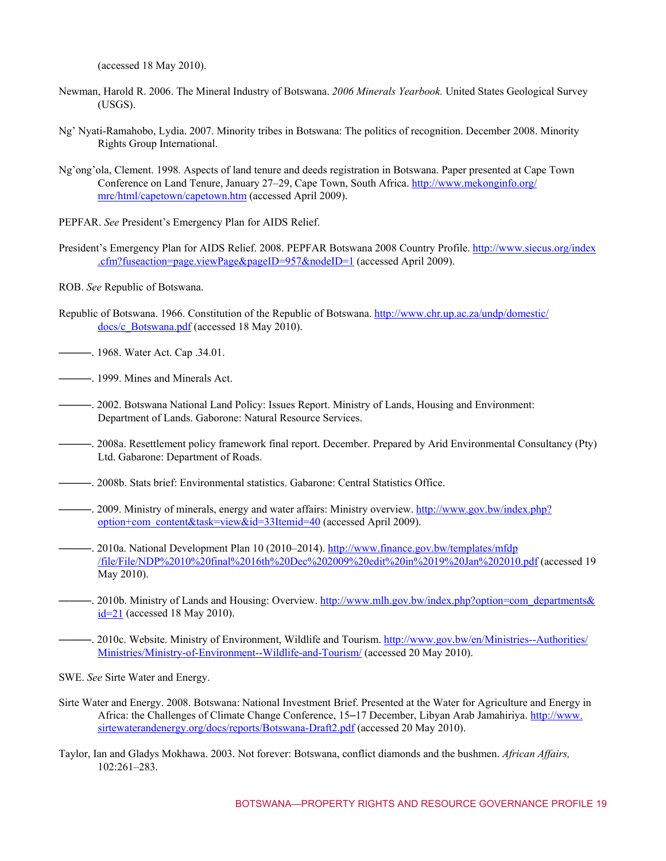(accessed 18 May 2010).

- Newman, Harold R. 2006. The Mineral Industry of Botswana. *2006 Minerals Yearbook.* United States Geological Survey (USGS).
- Ng' Nyati-Ramahobo, Lydia. 2007. Minority tribes in Botswana: The politics of recognition. December 2008. Minority Rights Group International.
- Ng'ong'ola, Clement. 1998*.* Aspects of land tenure and deeds registration in Botswana. Paper presented at Cape Town [Conference on Land Tenure, January 27–29, Cape Town, South Africa. http://www.mekonginfo.org/](http://www.mekonginfo.org/mrc/html/capetown/capetown.htm) mrc/html/capetown/capetown.htm (accessed April 2009).
- PEPFAR. *See* President's Emergency Plan for AIDS Relief.
- Preside[nt's Emergency Plan for AIDS Relief. 2008. PEPFAR Botswana 2008 Country Profile. http://www.siecus.org/index](http://www.siecus.org/index.cfm?fuseaction=page.viewPage&pageID=957&nodeID=1) .cfm?fuseaction=page.viewPage&pageID=957&nodeID=1 (accessed April 2009).
- ROB. *See* Republic of Botswana.
- Republi[c of Botswana. 1966. Constitution of the Republic of Botswana. http://www.chr.up.ac.za/undp/domestic/](http://www.chr.up.ac.za/undp/domestic/docs/c_Botswana.pdf) docs/c\_Botswana.pdf (accessed 18 May 2010).
- ——. 1968. Water Act. Cap .34.01.
- ———. 1999. Mines and Minerals Act.
- ———. 2002. Botswana National Land Policy: Issues Report. Ministry of Lands, Housing and Environment: Department of Lands. Gaborone: Natural Resource Services.
- ———. 2008a. Resettlement policy framework final report. December. Prepared by Arid Environmental Consultancy (Pty) Ltd. Gabarone: Department of Roads.
- ———. 2008b. Stats brief: Environmental statistics. Gabarone: Central Statistics Office.
- ———. [2009. Ministry of minerals, energy and water affairs: Ministry overview. http://www.gov.bw/index.php?](http://www.gov.bw/index.php?option+com_content&task=view&id=33Itemid=40) option+com\_content&task=view&id=33Itemid=40 (accessed April 2009).
- ———. 2010a. National Development Plan 10 (2010–2014). http://www.finance.gov.bw/templates/mfdp [/file/File/NDP%2010%20final%2016th%20Dec%202009%20edit%20in%2019%20Jan%202010.pdf \(](http://www/finance.gov.bw/templates/mfdp/file/File/NDP%2010%20final%2016th%20Dec%202009%20edit%20in%2019%20Jan%2010.pdf)accessed 19 May 2010).
- ———. [2010b. Ministry of Lands and Housing: Overview. http://www.mlh.gov.bw/index.php?option=com\\_departments&](http://www.mlh.gov.bw/index.php?option=com_departments&id=21) id=21 (accessed 18 May 2010).
- ———. [2010c. Website. Ministry of Environment, Wildlife and Tourism. http://www.gov.bw/en/Ministries--Authorities/](http://www.gov/bw/en/Ministries--Authorities/Ministries/Ministry-of-Environment--Wildlife-and-Tourism/) Ministries/Ministry-of-Environment--Wildlife-and-Tourism/ (accessed 20 May 2010).
- SWE. *See* Sirte Water and Energy.
- Sirte Water and Energy. 2008. Botswana: National Investment Brief. Presented at the Water for Agriculture and Energy in Africa: the Challenges of Climate Change Conference, 15–17 December, Libyan Arab Jamahiriya. http://www. sirtewaterandenergy.org/docs/reports/Botswana-Draft2.pdf (accessed 20 May 2010).
- Taylor, Ian and Gladys Mokhawa. 2003. Not forever: Botswana, conflict diamonds and the bushmen. *African Affairs,* 102:261–283.